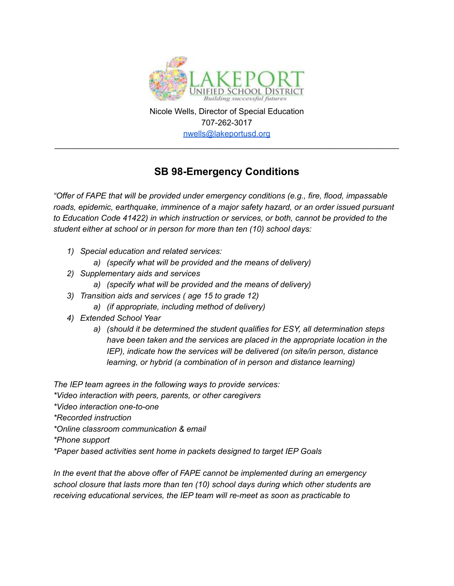

Nicole Wells, Director of Special Education 707-262-3017 [nwells@lakeportusd.org](mailto:nwells@lakeportusd.org)

\_\_\_\_\_\_\_\_\_\_\_\_\_\_\_\_\_\_\_\_\_\_\_\_\_\_\_\_\_\_\_\_\_\_\_\_\_\_\_\_\_\_\_\_\_\_\_\_\_\_\_\_\_\_\_\_\_\_\_\_\_\_\_\_\_\_\_\_\_\_\_\_\_\_\_\_

## **SB 98-Emergency Conditions**

*"Offer of FAPE that will be provided under emergency conditions (e.g., fire, flood, impassable roads, epidemic, earthquake, imminence of a major safety hazard, or an order issued pursuant to Education Code 41422) in which instruction or services, or both, cannot be provided to the student either at school or in person for more than ten (10) school days:*

- *1) Special education and related services:*
	- *a) (specify what will be provided and the means of delivery)*
- *2) Supplementary aids and services*
	- *a) (specify what will be provided and the means of delivery)*
- *3) Transition aids and services ( age 15 to grade 12)*
	- *a) (if appropriate, including method of delivery)*
- *4) Extended School Year*
	- *a) (should it be determined the student qualifies for ESY, all determination steps have been taken and the services are placed in the appropriate location in the IEP), indicate how the services will be delivered (on site/in person, distance learning, or hybrid (a combination of in person and distance learning)*

*The IEP team agrees in the following ways to provide services:*

- *\*Video interaction with peers, parents, or other caregivers*
- *\*Video interaction one-to-one*
- *\*Recorded instruction*
- *\*Online classroom communication & email*
- *\*Phone support*
- *\*Paper based activities sent home in packets designed to target IEP Goals*

*In the event that the above offer of FAPE cannot be implemented during an emergency school closure that lasts more than ten (10) school days during which other students are receiving educational services, the IEP team will re-meet as soon as practicable to*